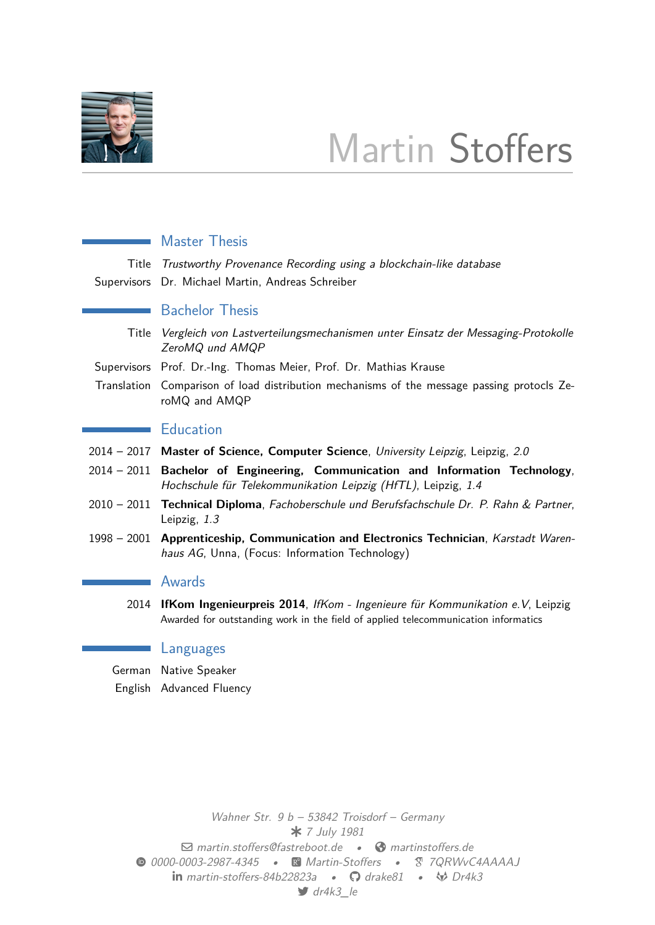

# Martin Stoffers

|        | <b>Master Thesis</b>                                                                                                                                                                |  |  |  |  |
|--------|-------------------------------------------------------------------------------------------------------------------------------------------------------------------------------------|--|--|--|--|
| Title  | Trustworthy Provenance Recording using a blockchain-like database<br>Supervisors Dr. Michael Martin, Andreas Schreiber                                                              |  |  |  |  |
|        | <b>Bachelor Thesis</b>                                                                                                                                                              |  |  |  |  |
| Title  | Vergleich von Lastverteilungsmechanismen unter Einsatz der Messaging-Protokolle<br>ZeroMQ und AMQP                                                                                  |  |  |  |  |
|        | Supervisors Prof. Dr.-Ing. Thomas Meier, Prof. Dr. Mathias Krause                                                                                                                   |  |  |  |  |
|        | Translation Comparison of load distribution mechanisms of the message passing protocls Ze-<br>roMQ and AMQP                                                                         |  |  |  |  |
|        | <b>Education</b>                                                                                                                                                                    |  |  |  |  |
|        | 2014 - 2017 Master of Science, Computer Science, University Leipzig, Leipzig, 2.0                                                                                                   |  |  |  |  |
|        | 2014 - 2011 Bachelor of Engineering, Communication and Information Technology,<br>Hochschule für Telekommunikation Leipzig (HfTL), Leipzig, 1.4                                     |  |  |  |  |
|        | 2010 - 2011 Technical Diploma, Fachoberschule und Berufsfachschule Dr. P. Rahn & Partner,<br>Leipzig, 1.3                                                                           |  |  |  |  |
|        | 1998 - 2001 Apprenticeship, Communication and Electronics Technician, Karstadt Waren-<br>haus AG, Unna, (Focus: Information Technology)                                             |  |  |  |  |
|        | <b>Awards</b>                                                                                                                                                                       |  |  |  |  |
| 2014   | <b>IfKom Ingenieurpreis 2014</b> , <i>IfKom - Ingenieure für Kommunikation e.V.</i> , Leipzig<br>Awarded for outstanding work in the field of applied telecommunication informatics |  |  |  |  |
|        | Languages                                                                                                                                                                           |  |  |  |  |
| German | Native Speaker                                                                                                                                                                      |  |  |  |  |

English Advanced Fluency

*Wahner Str. 9 b – 53842 Troisdorf – Germany 7 July 1981* a *martin.stoffers@fastreboot.de •* ˤ *martinstoffers.de 0000-0003-2987-4345 • Martin-Stoffers • 7QRWvC4AAAAJ* M *martin-stoffers-84b22823a •* H *drake81 •* Ï *Dr4k3* F *[dr4k3\\_](mailto:martin.stoffers@fastreboot.de)le*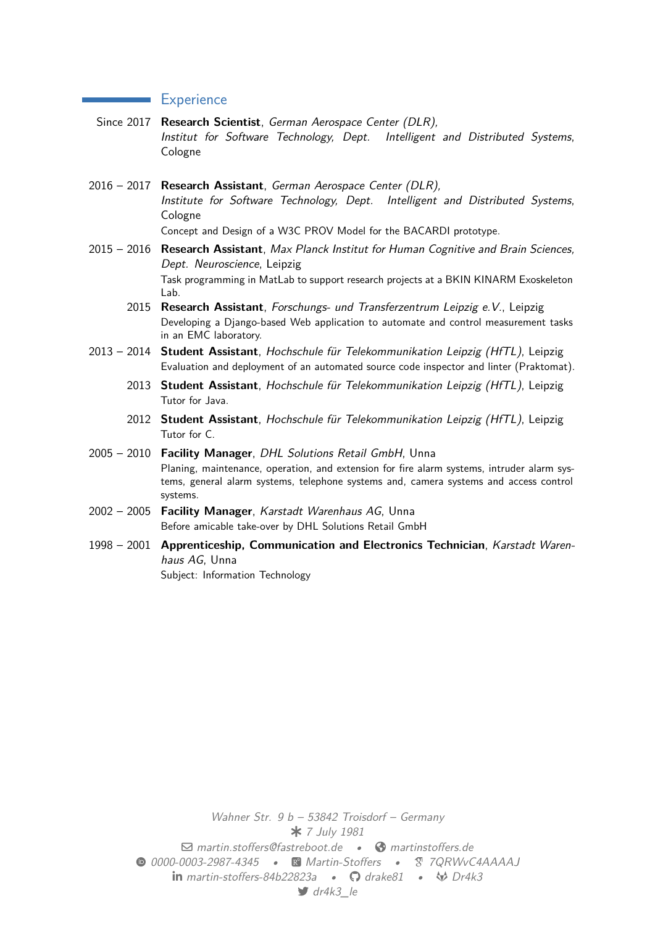#### **Experience**

- Since 2017 **Research Scientist**, *German Aerospace Center (DLR), Institut for Software Technology, Dept. Intelligent and Distributed Systems*, Cologne
- 2016 2017 **Research Assistant**, *German Aerospace Center (DLR), Institute for Software Technology, Dept. Intelligent and Distributed Systems*, Cologne Concept and Design of a W3C PROV Model for the BACARDI prototype.
- 2015 2016 **Research Assistant**, *Max Planck Institut for Human Cognitive and Brain Sciences, Dept. Neuroscience*, Leipzig Task programming in MatLab to support research projects at a BKIN KINARM Exoskeleton Lab.
	- 2015 **Research Assistant**, *Forschungs- und Transferzentrum Leipzig e.V.*, Leipzig Developing a Django-based Web application to automate and control measurement tasks in an EMC laboratory.
- 2013 2014 **Student Assistant**, *Hochschule für Telekommunikation Leipzig (HfTL)*, Leipzig Evaluation and deployment of an automated source code inspector and linter (Praktomat).
	- 2013 **Student Assistant**, *Hochschule für Telekommunikation Leipzig (HfTL)*, Leipzig Tutor for Java.
	- 2012 **Student Assistant**, *Hochschule für Telekommunikation Leipzig (HfTL)*, Leipzig Tutor for C.
- 2005 2010 **Facility Manager**, *DHL Solutions Retail GmbH*, Unna Planing, maintenance, operation, and extension for fire alarm systems, intruder alarm systems, general alarm systems, telephone systems and, camera systems and access control systems.
- 2002 2005 **Facility Manager**, *Karstadt Warenhaus AG*, Unna Before amicable take-over by DHL Solutions Retail GmbH
- 1998 2001 **Apprenticeship, Communication and Electronics Technician**, *Karstadt Warenhaus AG*, Unna Subject: Information Technology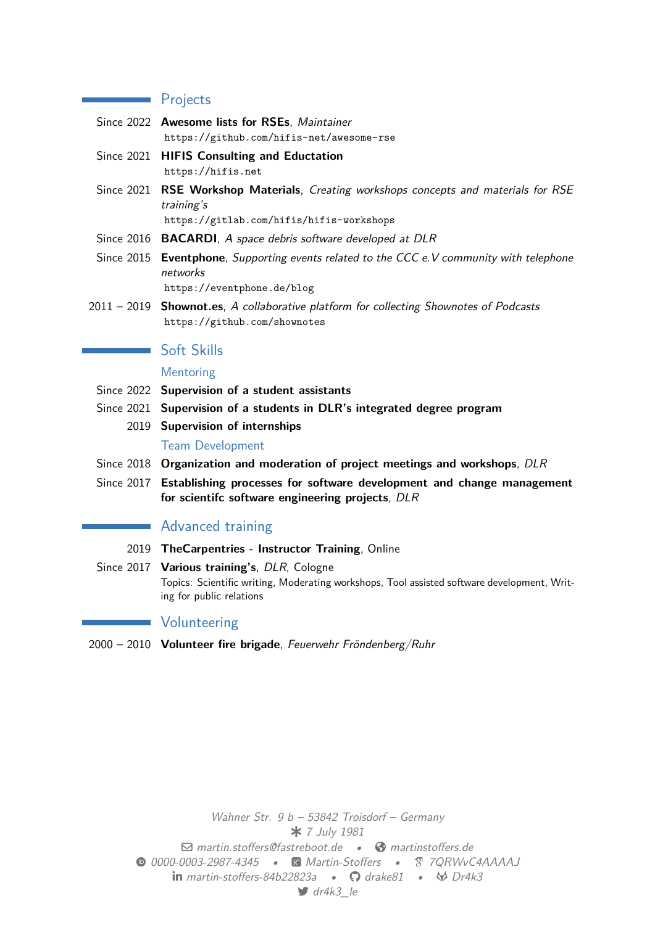### **Projects**

- Since 2022 **Awesome lists for RSEs**, *Maintainer* https://github.com/hifis-net/awesome-rse
- Since 2021 **HIFIS Consulting and Eductation** https://hifis.net
- Since 2021 **[RSE Workshop Materials](https://github.com/hifis-net/awesome-rse)**, *Creating workshops concepts and materials for RSE training's*

[https://gitlab.co](https://hifis.net)m/hifis/hifis-workshops

- Since 2016 **BACARDI**, *A space debris software developed at DLR*
- Since 2015 **Eventphone**, *Supporting events related to the CCC e.V community with telephone [networks](https://gitlab.com/hifis/hifis-workshops)* https://eventphone.de/blog

2011 – 2019 **Shownot.es**, *A collaborative platform for collecting Shownotes of Podcasts* https://github.com/shownotes

## [Soft Skills](https://eventphone.de/blog)

#### [Mentoring](https://github.com/shownotes)

- Since 2022 **Supervision of a student assistants**
- Since 2021 **Supervision of a students in DLR's integrated degree program**
	- 2019 **Supervision of internships**

#### Team Development

- Since 2018 **Organization and moderation of project meetings and workshops**, *DLR*
- Since 2017 **Establishing processes for software development and change management for scientifc software engineering projects**, *DLR*

# **Advanced training**

- 2019 **TheCarpentries Instructor Training**, Online
- Since 2017 **Various training's**, *DLR*, Cologne Topics: Scientific writing, Moderating workshops, Tool assisted software development, Writing for public relations

## **Volunteering**

2000 – 2010 **Volunteer fire brigade**, *Feuerwehr Fröndenberg/Ruhr*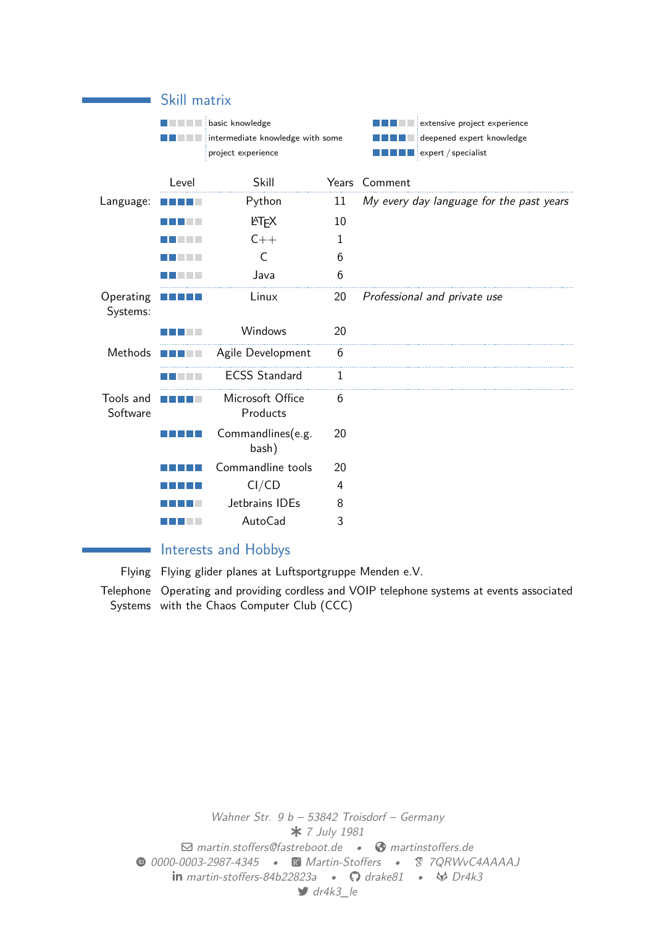|                       | Skill matrix                                                              |                              |              |                                                                                  |  |  |
|-----------------------|---------------------------------------------------------------------------|------------------------------|--------------|----------------------------------------------------------------------------------|--|--|
|                       | basic knowledge<br>intermediate knowledge with some<br>project experience |                              |              | extensive project experience<br>deepened expert knowledge<br>expert / specialist |  |  |
|                       | Level                                                                     | Skill                        |              | Years Comment                                                                    |  |  |
| Language:             |                                                                           | Python                       | 11           | My every day language for the past years                                         |  |  |
|                       |                                                                           | <b>AT<sub>E</sub>X</b>       | 10           |                                                                                  |  |  |
|                       |                                                                           | $C++$                        | 1            |                                                                                  |  |  |
|                       |                                                                           | C                            | 6            |                                                                                  |  |  |
|                       |                                                                           | Java                         | 6            |                                                                                  |  |  |
| Operating<br>Systems: |                                                                           | Linux                        | 20           | Professional and private use                                                     |  |  |
|                       |                                                                           | Windows                      | 20           |                                                                                  |  |  |
| Methods               |                                                                           | Agile Development            | 6            |                                                                                  |  |  |
|                       |                                                                           | <b>ECSS Standard</b>         | $\mathbf{1}$ |                                                                                  |  |  |
| Tools and<br>Software |                                                                           | Microsoft Office<br>Products | 6            |                                                                                  |  |  |
|                       |                                                                           | Commandlines(e.g.<br>bash)   | 20           |                                                                                  |  |  |
|                       |                                                                           | Commandline tools            | 20           |                                                                                  |  |  |
|                       |                                                                           | CI/CD                        | 4            |                                                                                  |  |  |
|                       |                                                                           | Jetbrains IDEs               | 8            |                                                                                  |  |  |
|                       |                                                                           | AutoCad                      | 3            |                                                                                  |  |  |

# Interests and Hobbys

Flying Flying glider planes at Luftsportgruppe Menden e.V.

Telephone Operating and providing cordless and VOIP telephone systems at events associated Systems with the Chaos Computer Club (CCC)